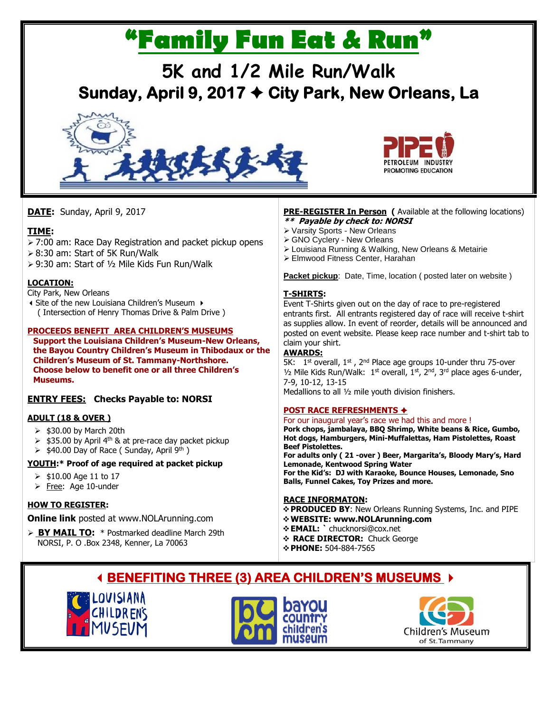# **"Family Fun Eat & Run"**

## **5K and 1/2 Mile Run/Walk Sunday, April 9, 2017 City Park, New Orleans, La**





**DATE:** Sunday, April 9, 2017

#### **TIME:**

- 7:00 am: Race Day Registration and packet pickup opens
- 8:30 am: Start of 5K Run/Walk
- 9:30 am: Start of ½ Mile Kids Fun Run/Walk

#### **LOCATION:**

City Park, New Orleans

Site of the new Louisiana Children's Museum ( Intersection of Henry Thomas Drive & Palm Drive )

#### **PROCEEDS BENEFIT AREA CHILDREN'S MUSEUMS**

**Support the Louisiana Children's Museum-New Orleans, the Bayou Country Children's Museum in Thibodaux or the Children's Museum of St. Tammany-Northshore. Choose below to benefit one or all three Children's Museums.**

#### **ENTRY FEES: Checks Payable to: NORSI**

#### **ADULT (18 & OVER )**

- $\geq$  \$30.00 by March 20th
- $\ge$  \$35.00 by April 4<sup>th</sup> & at pre-race day packet pickup
- $\triangleright$  \$40.00 Day of Race ( Sunday, April 9<sup>th</sup> )

#### **YOUTH:\* Proof of age required at packet pickup**

- $> $10.00$  Age 11 to 17
- $\triangleright$  Free: Age 10-under

#### **HOW TO REGISTER:**

**Online link** posted at www.NOLArunning.com

 **BY MAIL TO:** \* Postmarked deadline March 29th NORSI, P. O .Box 2348, Kenner, La 70063

#### **PRE-REGISTER In Person** ( Available at the following locations) **\*\* Payable by check to: NORSI**

- Varsity Sports New Orleans
- GNO Cyclery New Orleans
- Louisiana Running & Walking, New Orleans & Metairie
- Elmwood Fitness Center, Harahan

**Packet pickup:** Date, Time, location ( posted later on website )

#### **T-SHIRTS:**

Event T-Shirts given out on the day of race to pre-registered entrants first. All entrants registered day of race will receive t-shirt as supplies allow. In event of reorder, details will be announced and posted on event website. Please keep race number and t-shirt tab to claim your shirt.

#### **AWARDS:**

 $\overline{5K}$ :  $1^{\text{st}}$  overall,  $1^{\text{st}}$ ,  $2^{\text{nd}}$  Place age groups 10-under thru 75-over  $1/2$  Mile Kids Run/Walk:  $1<sup>st</sup>$  overall,  $1<sup>st</sup>$ ,  $2<sup>nd</sup>$ ,  $3<sup>rd</sup>$  place ages 6-under, 7-9, 10-12, 13-15 Medallions to all ½ mile youth division finishers.

#### **POST RACE REFRESHMENTS**

For our inaugural year's race we had this and more ! **Pork chops, jambalaya, BBQ Shrimp, White beans & Rice, Gumbo, Hot dogs, Hamburgers, Mini-Muffalettas, Ham Pistolettes, Roast Beef Pistolettes. For adults only ( 21 -over ) Beer, Margarita's, Bloody Mary's, Hard Lemonade, Kentwood Spring Water For the Kid's: DJ with Karaoke, Bounce Houses, Lemonade, Sno Balls, Funnel Cakes, Toy Prizes and more.** 

#### **RACE INFORMATON:**

- **PRODUCED BY**: New Orleans Running Systems, Inc. and PIPE
- **WEBSITE: www.NOLArunning.com**
- **EMAIL: `** chucknorsi@cox.net
- **RACE DIRECTOR:** Chuck George
- **PHONE:** 504-884-7565

### **BENEFITING THREE (3) AREA CHILDREN'S MUSEUMS**